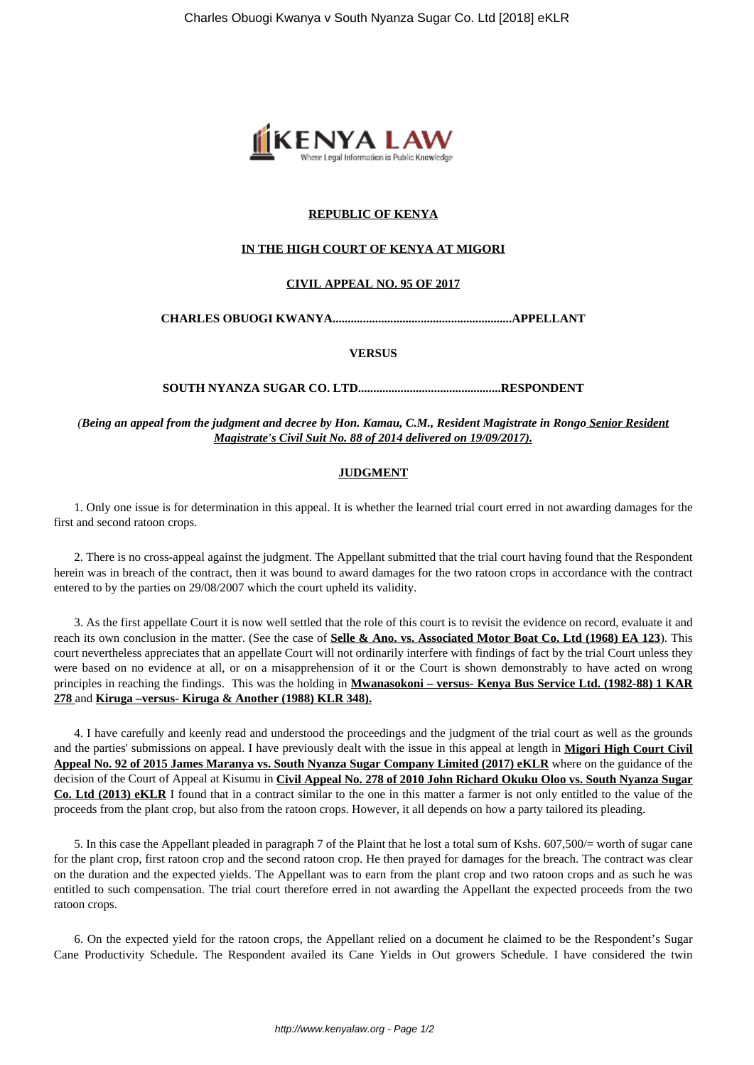

# **REPUBLIC OF KENYA**

### **IN THE HIGH COURT OF KENYA AT MIGORI**

# **CIVIL APPEAL NO. 95 OF 2017**

**CHARLES OBUOGI KWANYA...........................................................APPELLANT**

#### **VERSUS**

**SOUTH NYANZA SUGAR CO. LTD...............................................RESPONDENT**

*(Being an appeal from the judgment and decree by Hon. Kamau, C.M., Resident Magistrate in Rongo Senior Resident Magistrate's Civil Suit No. 88 of 2014 delivered on 19/09/2017).*

#### **JUDGMENT**

1. Only one issue is for determination in this appeal. It is whether the learned trial court erred in not awarding damages for the first and second ratoon crops.

2. There is no cross-appeal against the judgment. The Appellant submitted that the trial court having found that the Respondent herein was in breach of the contract, then it was bound to award damages for the two ratoon crops in accordance with the contract entered to by the parties on 29/08/2007 which the court upheld its validity.

3. As the first appellate Court it is now well settled that the role of this court is to revisit the evidence on record, evaluate it and reach its own conclusion in the matter. (See the case of **Selle & Ano. vs. Associated Motor Boat Co. Ltd (1968) EA 123**). This court nevertheless appreciates that an appellate Court will not ordinarily interfere with findings of fact by the trial Court unless they were based on no evidence at all, or on a misapprehension of it or the Court is shown demonstrably to have acted on wrong principles in reaching the findings. This was the holding in **Mwanasokoni – versus- Kenya Bus Service Ltd. (1982-88) 1 KAR 278** and **Kiruga –versus- Kiruga & Another (1988) KLR 348).**

4. I have carefully and keenly read and understood the proceedings and the judgment of the trial court as well as the grounds and the parties' submissions on appeal. I have previously dealt with the issue in this appeal at length in **Migori High Court Civil Appeal No. 92 of 2015 James Maranya vs. South Nyanza Sugar Company Limited (2017) eKLR** where on the guidance of the decision of the Court of Appeal at Kisumu in **Civil Appeal No. 278 of 2010 John Richard Okuku Oloo vs. South Nyanza Sugar Co. Ltd (2013) eKLR** I found that in a contract similar to the one in this matter a farmer is not only entitled to the value of the proceeds from the plant crop, but also from the ratoon crops. However, it all depends on how a party tailored its pleading.

5. In this case the Appellant pleaded in paragraph 7 of the Plaint that he lost a total sum of Kshs. 607,500/= worth of sugar cane for the plant crop, first ratoon crop and the second ratoon crop. He then prayed for damages for the breach. The contract was clear on the duration and the expected yields. The Appellant was to earn from the plant crop and two ratoon crops and as such he was entitled to such compensation. The trial court therefore erred in not awarding the Appellant the expected proceeds from the two ratoon crops.

6. On the expected yield for the ratoon crops, the Appellant relied on a document he claimed to be the Respondent's Sugar Cane Productivity Schedule. The Respondent availed its Cane Yields in Out growers Schedule. I have considered the twin